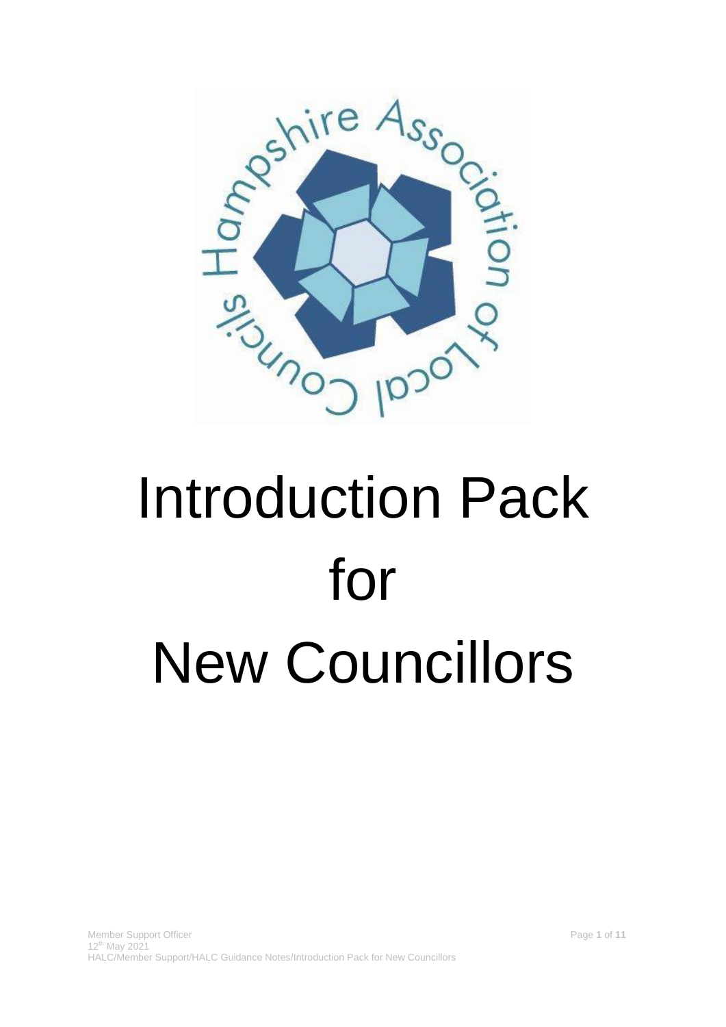

# Introduction Pack for New Councillors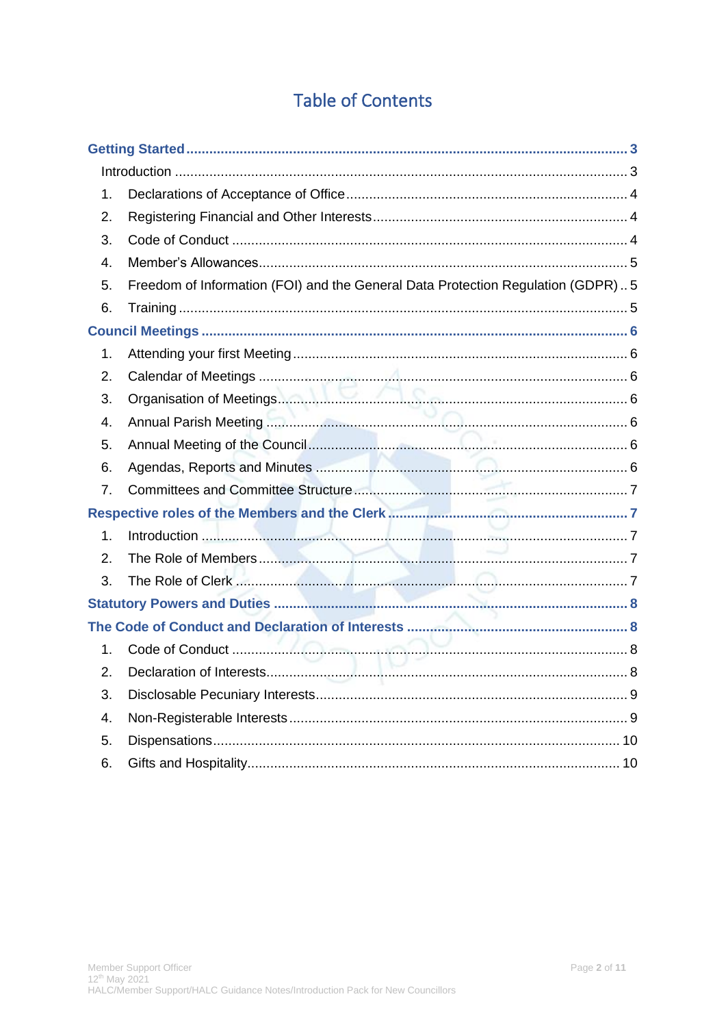## **Table of Contents**

| 1.             |                                                                                 |  |
|----------------|---------------------------------------------------------------------------------|--|
| 2.             |                                                                                 |  |
| 3.             |                                                                                 |  |
| 4.             |                                                                                 |  |
| 5.             | Freedom of Information (FOI) and the General Data Protection Regulation (GDPR)5 |  |
| 6.             |                                                                                 |  |
|                |                                                                                 |  |
| 1.             |                                                                                 |  |
| 2.             |                                                                                 |  |
| 3.             |                                                                                 |  |
| 4.             |                                                                                 |  |
| 5.             |                                                                                 |  |
| 6.             |                                                                                 |  |
| 7.             |                                                                                 |  |
|                |                                                                                 |  |
| 1 <sub>1</sub> |                                                                                 |  |
| 2.             |                                                                                 |  |
| 3.             |                                                                                 |  |
|                |                                                                                 |  |
|                |                                                                                 |  |
| 1.             |                                                                                 |  |
| 2.             |                                                                                 |  |
| 3.             |                                                                                 |  |
| 4.             |                                                                                 |  |
| 5.             |                                                                                 |  |
| 6.             |                                                                                 |  |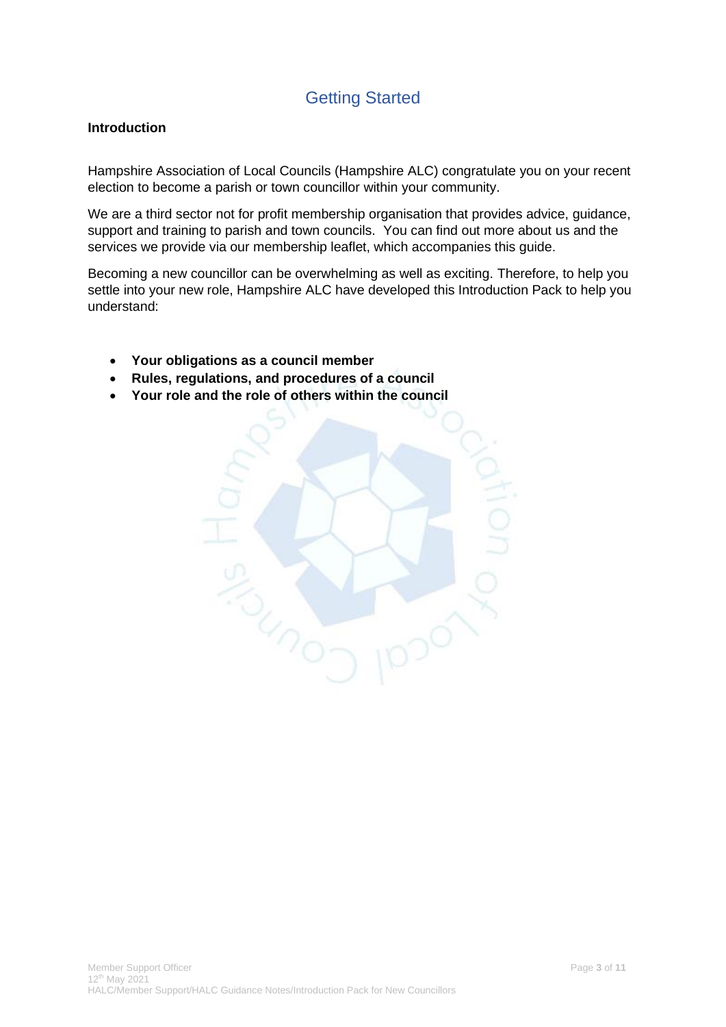## Getting Started

#### <span id="page-2-1"></span><span id="page-2-0"></span>**Introduction**

Hampshire Association of Local Councils (Hampshire ALC) congratulate you on your recent election to become a parish or town councillor within your community.

We are a third sector not for profit membership organisation that provides advice, guidance, support and training to parish and town councils. You can find out more about us and the services we provide via our membership leaflet, which accompanies this guide.

Becoming a new councillor can be overwhelming as well as exciting. Therefore, to help you settle into your new role, Hampshire ALC have developed this Introduction Pack to help you understand:

- **Your obligations as a council member**
- **Rules, regulations, and procedures of a council**
- **Your role and the role of others within the council**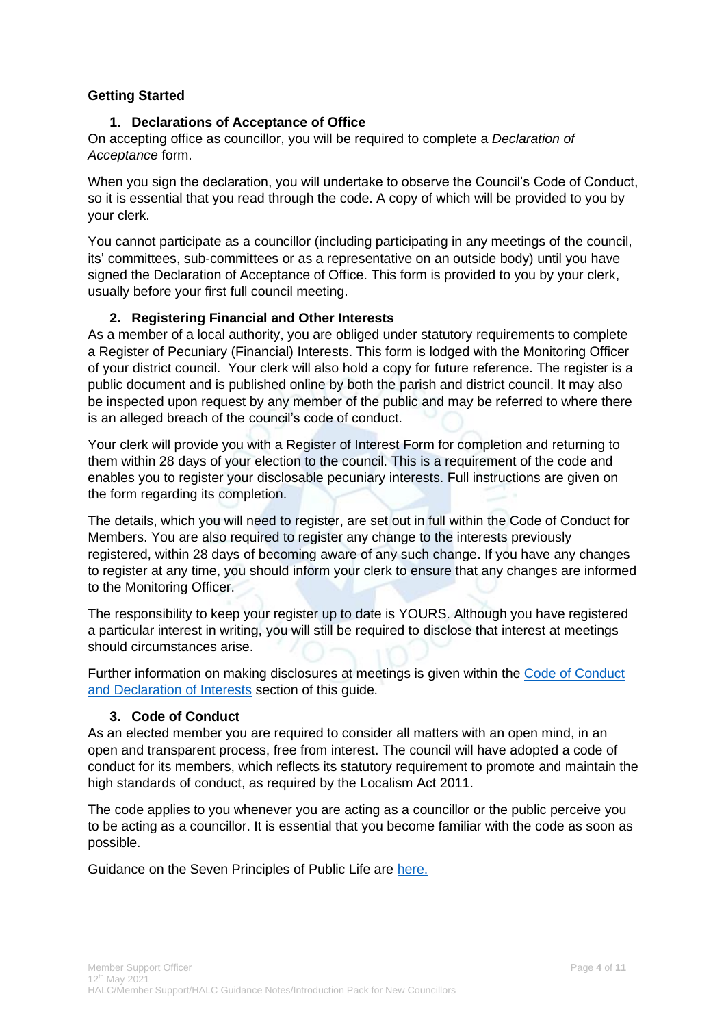#### **Getting Started**

#### **1. Declarations of Acceptance of Office**

<span id="page-3-0"></span>On accepting office as councillor, you will be required to complete a *Declaration of Acceptance* form.

When you sign the declaration, you will undertake to observe the Council's Code of Conduct, so it is essential that you read through the code. A copy of which will be provided to you by your clerk.

You cannot participate as a councillor (including participating in any meetings of the council, its' committees, sub-committees or as a representative on an outside body) until you have signed the Declaration of Acceptance of Office. This form is provided to you by your clerk, usually before your first full council meeting.

#### **2. Registering Financial and Other Interests**

<span id="page-3-1"></span>As a member of a local authority, you are obliged under statutory requirements to complete a Register of Pecuniary (Financial) Interests. This form is lodged with the Monitoring Officer of your district council. Your clerk will also hold a copy for future reference. The register is a public document and is published online by both the parish and district council. It may also be inspected upon request by any member of the public and may be referred to where there is an alleged breach of the council's code of conduct.

Your clerk will provide you with a Register of Interest Form for completion and returning to them within 28 days of your election to the council. This is a requirement of the code and enables you to register your disclosable pecuniary interests. Full instructions are given on the form regarding its completion.

The details, which you will need to register, are set out in full within the Code of Conduct for Members. You are also required to register any change to the interests previously registered, within 28 days of becoming aware of any such change. If you have any changes to register at any time, you should inform your clerk to ensure that any changes are informed to the Monitoring Officer.

The responsibility to keep your register up to date is YOURS. Although you have registered a particular interest in writing, you will still be required to disclose that interest at meetings should circumstances arise.

Further information on making disclosures at meetings is given within the [Code of Conduct](#page-7-1)  [and Declaration of Interests](#page-7-1) section of this guide.

#### **3. Code of Conduct**

<span id="page-3-2"></span>As an elected member you are required to consider all matters with an open mind, in an open and transparent process, free from interest. The council will have adopted a code of conduct for its members, which reflects its statutory requirement to promote and maintain the high standards of conduct, as required by the Localism Act 2011.

The code applies to you whenever you are acting as a councillor or the public perceive you to be acting as a councillor. It is essential that you become familiar with the code as soon as possible.

Guidance on the Seven Principles of Public Life are [here.](#page-7-1)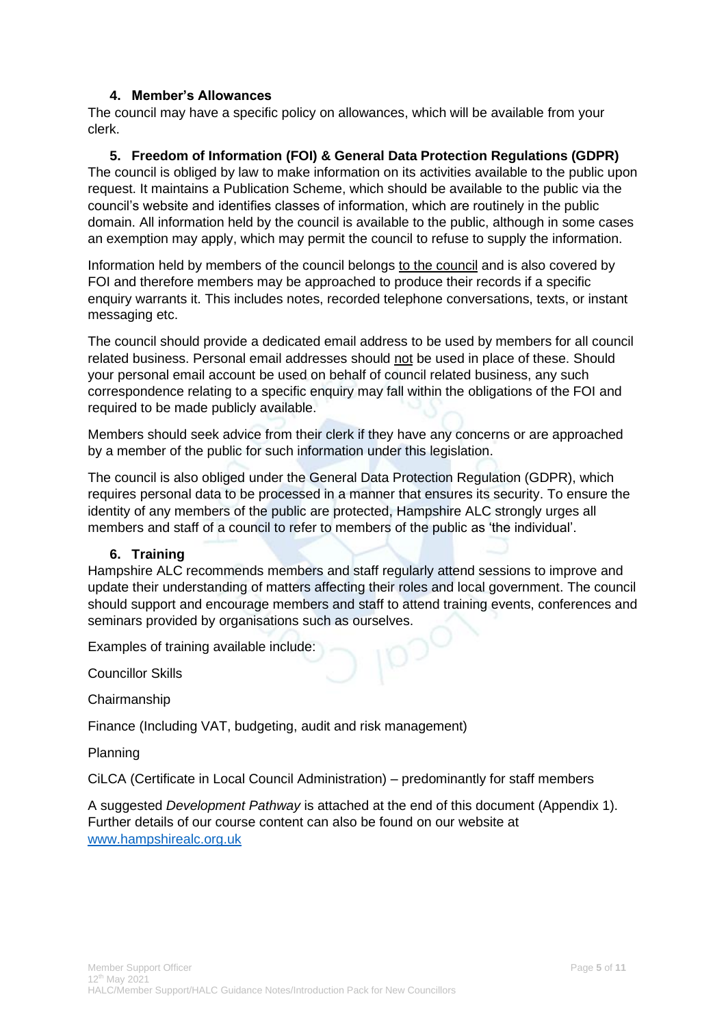#### **4. Member's Allowances**

<span id="page-4-0"></span>The council may have a specific policy on allowances, which will be available from your clerk.

#### **5. Freedom of Information (FOI) & General Data Protection Regulations (GDPR)**

<span id="page-4-1"></span>The council is obliged by law to make information on its activities available to the public upon request. It maintains a Publication Scheme, which should be available to the public via the council's website and identifies classes of information, which are routinely in the public domain. All information held by the council is available to the public, although in some cases an exemption may apply, which may permit the council to refuse to supply the information.

Information held by members of the council belongs to the council and is also covered by FOI and therefore members may be approached to produce their records if a specific enquiry warrants it. This includes notes, recorded telephone conversations, texts, or instant messaging etc.

The council should provide a dedicated email address to be used by members for all council related business. Personal email addresses should not be used in place of these. Should your personal email account be used on behalf of council related business, any such correspondence relating to a specific enquiry may fall within the obligations of the FOI and required to be made publicly available.

Members should seek advice from their clerk if they have any concerns or are approached by a member of the public for such information under this legislation.

The council is also obliged under the General Data Protection Regulation (GDPR), which requires personal data to be processed in a manner that ensures its security. To ensure the identity of any members of the public are protected, Hampshire ALC strongly urges all members and staff of a council to refer to members of the public as 'the individual'.

#### **6. Training**

<span id="page-4-2"></span>Hampshire ALC recommends members and staff regularly attend sessions to improve and update their understanding of matters affecting their roles and local government. The council should support and encourage members and staff to attend training events, conferences and seminars provided by organisations such as ourselves.

Examples of training available include:

Councillor Skills

Chairmanship

Finance (Including VAT, budgeting, audit and risk management)

Planning

CiLCA (Certificate in Local Council Administration) – predominantly for staff members

A suggested *Development Pathway* is attached at the end of this document (Appendix 1). Further details of our course content can also be found on our website at [www.hampshirealc.org.uk](https://www.hampshirealc.org.uk/)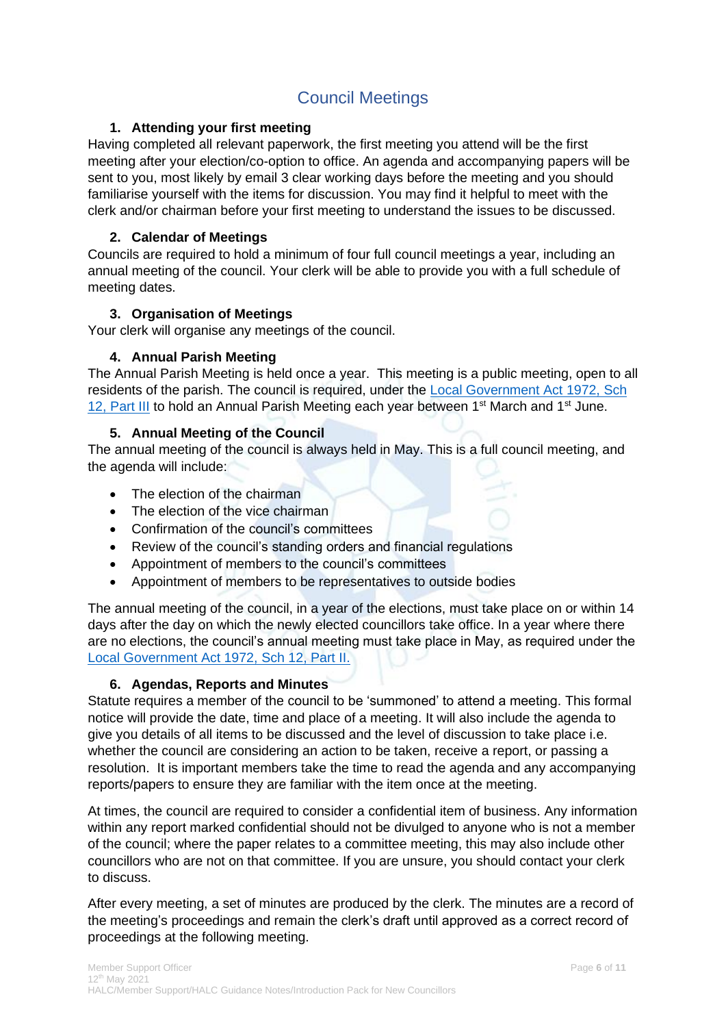## Council Meetings

#### <span id="page-5-0"></span>**1. Attending your first meeting**

<span id="page-5-1"></span>Having completed all relevant paperwork, the first meeting you attend will be the first meeting after your election/co-option to office. An agenda and accompanying papers will be sent to you, most likely by email 3 clear working days before the meeting and you should familiarise yourself with the items for discussion. You may find it helpful to meet with the clerk and/or chairman before your first meeting to understand the issues to be discussed.

#### **2. Calendar of Meetings**

<span id="page-5-2"></span>Councils are required to hold a minimum of four full council meetings a year, including an annual meeting of the council. Your clerk will be able to provide you with a full schedule of meeting dates.

#### **3. Organisation of Meetings**

<span id="page-5-3"></span>Your clerk will organise any meetings of the council.

#### **4. Annual Parish Meeting**

<span id="page-5-4"></span>The Annual Parish Meeting is held once a year. This meeting is a public meeting, open to all residents of the parish. The council is required, under the [Local Government Act 1972,](http://www.legislation.gov.uk/ukpga/1972/70/schedule/12/part/III) Sch 12, [Part III](http://www.legislation.gov.uk/ukpga/1972/70/schedule/12/part/III) to hold an Annual Parish Meeting each year between 1<sup>st</sup> March and 1<sup>st</sup> June.

#### **5. Annual Meeting of the Council**

<span id="page-5-5"></span>The annual meeting of the council is always held in May. This is a full council meeting, and the agenda will include:

- The election of the chairman
- The election of the vice chairman
- Confirmation of the council's committees
- Review of the council's standing orders and financial regulations
- Appointment of members to the council's committees
- Appointment of members to be representatives to outside bodies

The annual meeting of the council, in a year of the elections, must take place on or within 14 days after the day on which the newly elected councillors take office. In a year where there are no elections, the council's annual meeting must take place in May, as required under the [Local Government Act 1972, Sch 12, Part II.](http://www.legislation.gov.uk/ukpga/1972/70/schedule/12)

#### **6. Agendas, Reports and Minutes**

<span id="page-5-6"></span>Statute requires a member of the council to be 'summoned' to attend a meeting. This formal notice will provide the date, time and place of a meeting. It will also include the agenda to give you details of all items to be discussed and the level of discussion to take place i.e. whether the council are considering an action to be taken, receive a report, or passing a resolution. It is important members take the time to read the agenda and any accompanying reports/papers to ensure they are familiar with the item once at the meeting.

At times, the council are required to consider a confidential item of business. Any information within any report marked confidential should not be divulged to anyone who is not a member of the council; where the paper relates to a committee meeting, this may also include other councillors who are not on that committee. If you are unsure, you should contact your clerk to discuss.

After every meeting, a set of minutes are produced by the clerk. The minutes are a record of the meeting's proceedings and remain the clerk's draft until approved as a correct record of proceedings at the following meeting.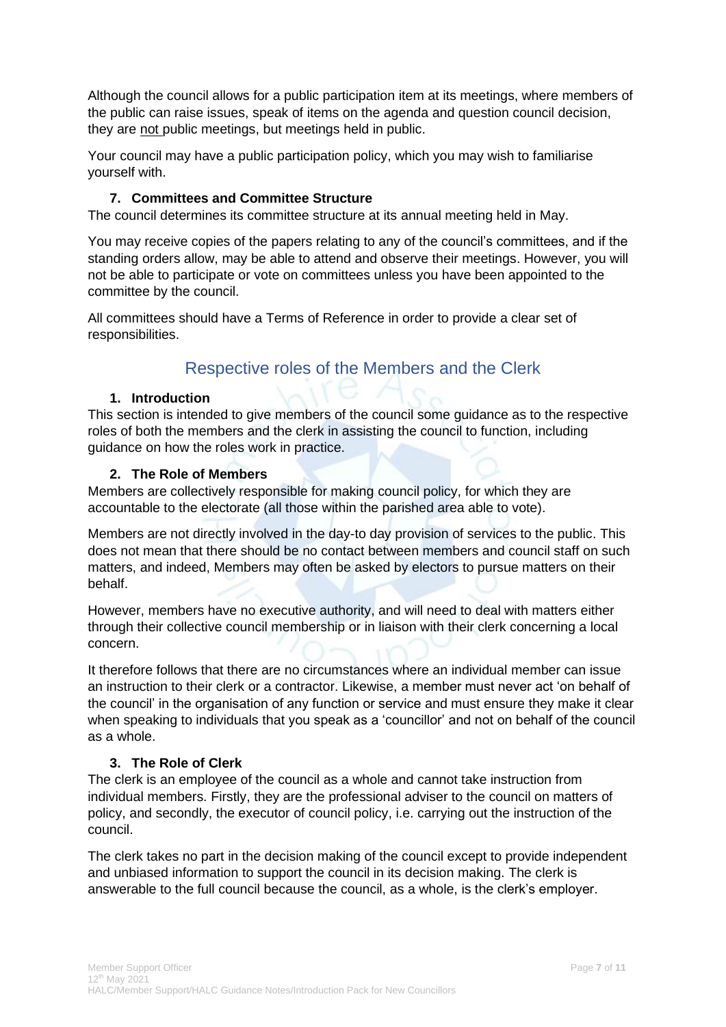Although the council allows for a public participation item at its meetings, where members of the public can raise issues, speak of items on the agenda and question council decision, they are not public meetings, but meetings held in public.

Your council may have a public participation policy, which you may wish to familiarise yourself with.

#### **7. Committees and Committee Structure**

<span id="page-6-0"></span>The council determines its committee structure at its annual meeting held in May.

You may receive copies of the papers relating to any of the council's committees, and if the standing orders allow, may be able to attend and observe their meetings. However, you will not be able to participate or vote on committees unless you have been appointed to the committee by the council.

<span id="page-6-1"></span>All committees should have a Terms of Reference in order to provide a clear set of responsibilities.

## Respective roles of the Members and the Clerk

#### **1. Introduction**

<span id="page-6-2"></span>This section is intended to give members of the council some guidance as to the respective roles of both the members and the clerk in assisting the council to function, including guidance on how the roles work in practice.

#### **2. The Role of Members**

<span id="page-6-3"></span>Members are collectively responsible for making council policy, for which they are accountable to the electorate (all those within the parished area able to vote).

Members are not directly involved in the day-to day provision of services to the public. This does not mean that there should be no contact between members and council staff on such matters, and indeed, Members may often be asked by electors to pursue matters on their behalf.

However, members have no executive authority, and will need to deal with matters either through their collective council membership or in liaison with their clerk concerning a local concern.

It therefore follows that there are no circumstances where an individual member can issue an instruction to their clerk or a contractor. Likewise, a member must never act 'on behalf of the council' in the organisation of any function or service and must ensure they make it clear when speaking to individuals that you speak as a 'councillor' and not on behalf of the council as a whole.

#### **3. The Role of Clerk**

<span id="page-6-4"></span>The clerk is an employee of the council as a whole and cannot take instruction from individual members. Firstly, they are the professional adviser to the council on matters of policy, and secondly, the executor of council policy, i.e. carrying out the instruction of the council.

The clerk takes no part in the decision making of the council except to provide independent and unbiased information to support the council in its decision making. The clerk is answerable to the full council because the council, as a whole, is the clerk's employer.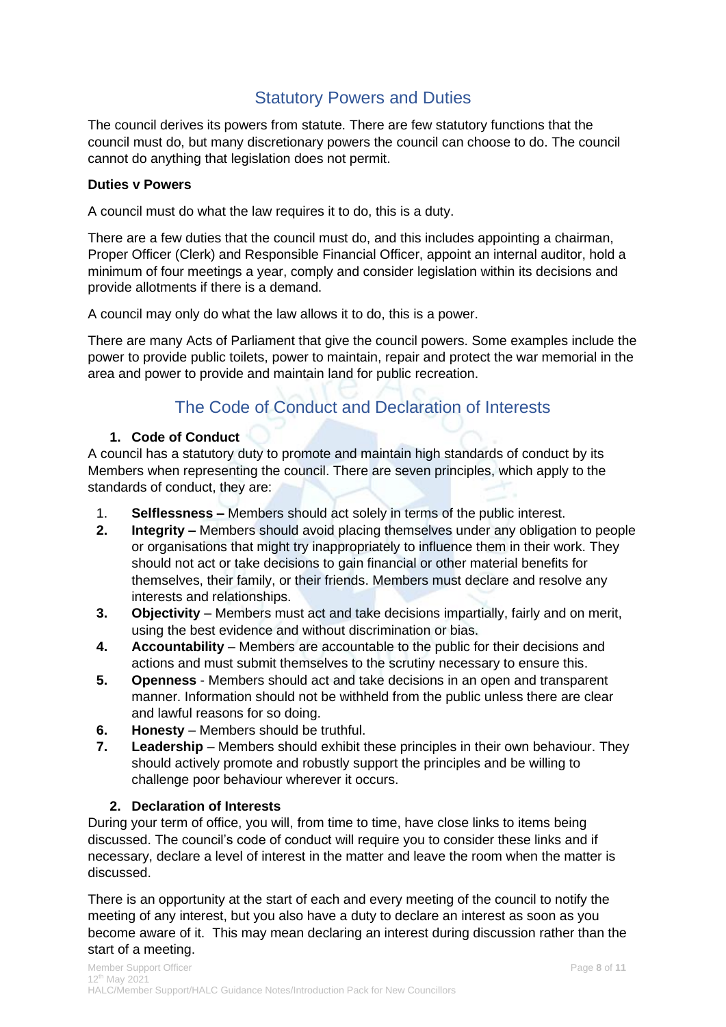### Statutory Powers and Duties

<span id="page-7-0"></span>The council derives its powers from statute. There are few statutory functions that the council must do, but many discretionary powers the council can choose to do. The council cannot do anything that legislation does not permit.

#### **Duties v Powers**

A council must do what the law requires it to do, this is a duty.

There are a few duties that the council must do, and this includes appointing a chairman, Proper Officer (Clerk) and Responsible Financial Officer, appoint an internal auditor, hold a minimum of four meetings a year, comply and consider legislation within its decisions and provide allotments if there is a demand.

A council may only do what the law allows it to do, this is a power.

There are many Acts of Parliament that give the council powers. Some examples include the power to provide public toilets, power to maintain, repair and protect the war memorial in the area and power to provide and maintain land for public recreation.

## The Code of Conduct and Declaration of Interests

#### <span id="page-7-1"></span>**1. Code of Conduct**

<span id="page-7-2"></span>A council has a statutory duty to promote and maintain high standards of conduct by its Members when representing the council. There are seven principles, which apply to the standards of conduct, they are:

- 1. **Selflessness –** Members should act solely in terms of the public interest.
- **2. Integrity –** Members should avoid placing themselves under any obligation to people or organisations that might try inappropriately to influence them in their work. They should not act or take decisions to gain financial or other material benefits for themselves, their family, or their friends. Members must declare and resolve any interests and relationships.
- **3. Objectivity**  Members must act and take decisions impartially, fairly and on merit, using the best evidence and without discrimination or bias.
- **4. Accountability** Members are accountable to the public for their decisions and actions and must submit themselves to the scrutiny necessary to ensure this.
- **5. Openness**  Members should act and take decisions in an open and transparent manner. Information should not be withheld from the public unless there are clear and lawful reasons for so doing.
- **6. Honesty**  Members should be truthful.
- **7. Leadership** Members should exhibit these principles in their own behaviour. They should actively promote and robustly support the principles and be willing to challenge poor behaviour wherever it occurs.

#### **2. Declaration of Interests**

<span id="page-7-3"></span>During your term of office, you will, from time to time, have close links to items being discussed. The council's code of conduct will require you to consider these links and if necessary, declare a level of interest in the matter and leave the room when the matter is discussed.

There is an opportunity at the start of each and every meeting of the council to notify the meeting of any interest, but you also have a duty to declare an interest as soon as you become aware of it. This may mean declaring an interest during discussion rather than the start of a meeting.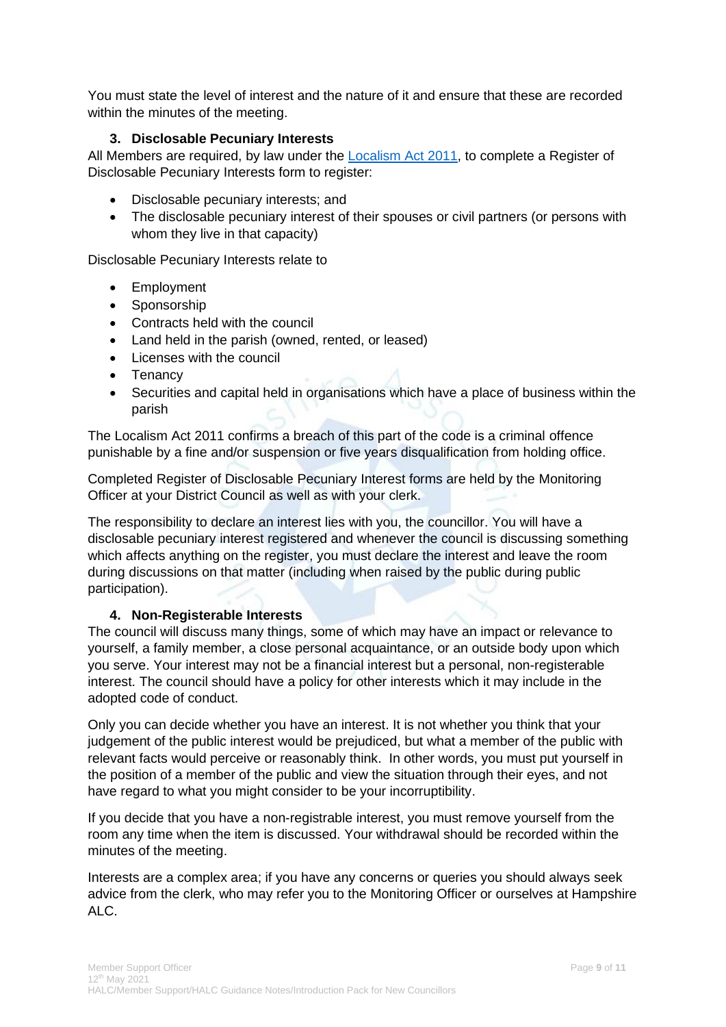You must state the level of interest and the nature of it and ensure that these are recorded within the minutes of the meeting.

#### **3. Disclosable Pecuniary Interests**

<span id="page-8-0"></span>All Members are required, by law under the [Localism Act 2011,](http://www.legislation.gov.uk/ukpga/2011/20/section/30/enacted) to complete a Register of Disclosable Pecuniary Interests form to register:

- Disclosable pecuniary interests; and
- The disclosable pecuniary interest of their spouses or civil partners (or persons with whom they live in that capacity)

Disclosable Pecuniary Interests relate to

- Employment
- Sponsorship
- Contracts held with the council
- Land held in the parish (owned, rented, or leased)
- Licenses with the council
- Tenancy
- Securities and capital held in organisations which have a place of business within the parish

The Localism Act 2011 confirms a breach of this part of the code is a criminal offence punishable by a fine and/or suspension or five years disqualification from holding office.

Completed Register of Disclosable Pecuniary Interest forms are held by the Monitoring Officer at your District Council as well as with your clerk.

The responsibility to declare an interest lies with you, the councillor. You will have a disclosable pecuniary interest registered and whenever the council is discussing something which affects anything on the register, you must declare the interest and leave the room during discussions on that matter (including when raised by the public during public participation).

#### **4. Non-Registerable Interests**

<span id="page-8-1"></span>The council will discuss many things, some of which may have an impact or relevance to yourself, a family member, a close personal acquaintance, or an outside body upon which you serve. Your interest may not be a financial interest but a personal, non-registerable interest. The council should have a policy for other interests which it may include in the adopted code of conduct.

Only you can decide whether you have an interest. It is not whether you think that your judgement of the public interest would be prejudiced, but what a member of the public with relevant facts would perceive or reasonably think. In other words, you must put yourself in the position of a member of the public and view the situation through their eyes, and not have regard to what you might consider to be your incorruptibility.

If you decide that you have a non-registrable interest, you must remove yourself from the room any time when the item is discussed. Your withdrawal should be recorded within the minutes of the meeting.

Interests are a complex area; if you have any concerns or queries you should always seek advice from the clerk, who may refer you to the Monitoring Officer or ourselves at Hampshire ALC.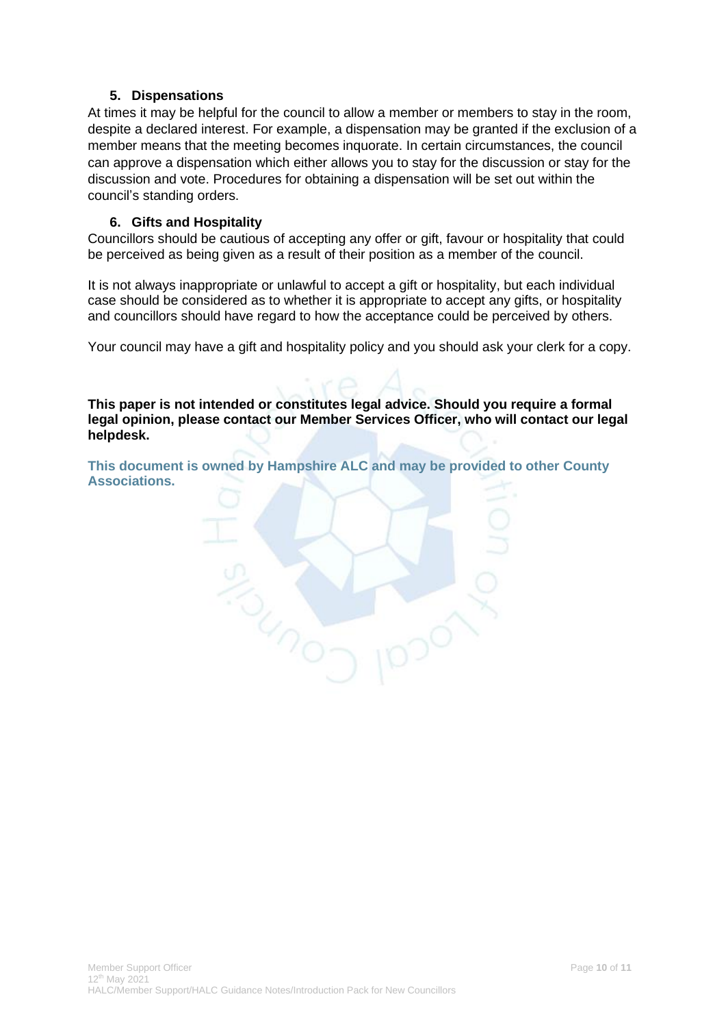#### **5. Dispensations**

<span id="page-9-0"></span>At times it may be helpful for the council to allow a member or members to stay in the room, despite a declared interest. For example, a dispensation may be granted if the exclusion of a member means that the meeting becomes inquorate. In certain circumstances, the council can approve a dispensation which either allows you to stay for the discussion or stay for the discussion and vote. Procedures for obtaining a dispensation will be set out within the council's standing orders.

#### **6. Gifts and Hospitality**

<span id="page-9-1"></span>Councillors should be cautious of accepting any offer or gift, favour or hospitality that could be perceived as being given as a result of their position as a member of the council.

It is not always inappropriate or unlawful to accept a gift or hospitality, but each individual case should be considered as to whether it is appropriate to accept any gifts, or hospitality and councillors should have regard to how the acceptance could be perceived by others.

Your council may have a gift and hospitality policy and you should ask your clerk for a copy.

**This paper is not intended or constitutes legal advice. Should you require a formal legal opinion, please contact our Member Services Officer, who will contact our legal helpdesk.**

**This document is owned by Hampshire ALC and may be provided to other County Associations.**